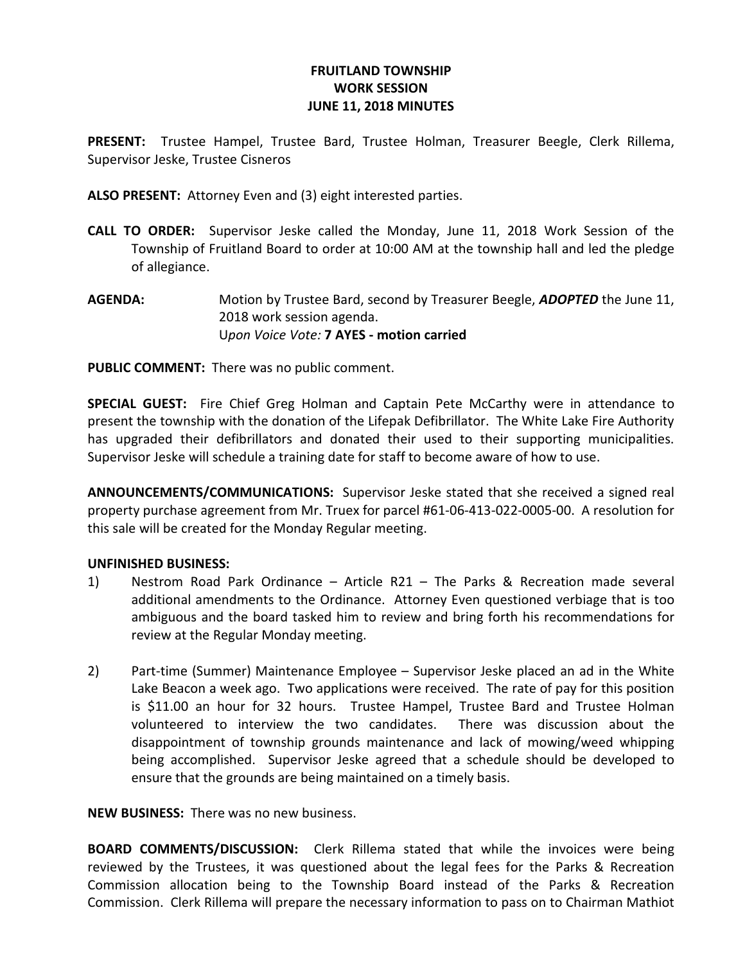## FRUITLAND TOWNSHIP WORK SESSION JUNE 11, 2018 MINUTES

PRESENT: Trustee Hampel, Trustee Bard, Trustee Holman, Treasurer Beegle, Clerk Rillema, Supervisor Jeske, Trustee Cisneros

ALSO PRESENT: Attorney Even and (3) eight interested parties.

- CALL TO ORDER: Supervisor Jeske called the Monday, June 11, 2018 Work Session of the Township of Fruitland Board to order at 10:00 AM at the township hall and led the pledge of allegiance.
- AGENDA: Motion by Trustee Bard, second by Treasurer Beegle, ADOPTED the June 11, 2018 work session agenda. Upon Voice Vote: 7 AYES - motion carried

PUBLIC COMMENT: There was no public comment.

SPECIAL GUEST: Fire Chief Greg Holman and Captain Pete McCarthy were in attendance to present the township with the donation of the Lifepak Defibrillator. The White Lake Fire Authority has upgraded their defibrillators and donated their used to their supporting municipalities. Supervisor Jeske will schedule a training date for staff to become aware of how to use.

ANNOUNCEMENTS/COMMUNICATIONS: Supervisor Jeske stated that she received a signed real property purchase agreement from Mr. Truex for parcel #61-06-413-022-0005-00. A resolution for this sale will be created for the Monday Regular meeting.

## UNFINISHED BUSINESS:

- 1) Nestrom Road Park Ordinance Article R21 The Parks & Recreation made several additional amendments to the Ordinance. Attorney Even questioned verbiage that is too ambiguous and the board tasked him to review and bring forth his recommendations for review at the Regular Monday meeting.
- 2) Part-time (Summer) Maintenance Employee Supervisor Jeske placed an ad in the White Lake Beacon a week ago. Two applications were received. The rate of pay for this position is \$11.00 an hour for 32 hours. Trustee Hampel, Trustee Bard and Trustee Holman volunteered to interview the two candidates. There was discussion about the disappointment of township grounds maintenance and lack of mowing/weed whipping being accomplished. Supervisor Jeske agreed that a schedule should be developed to ensure that the grounds are being maintained on a timely basis.

NEW BUSINESS: There was no new business.

BOARD COMMENTS/DISCUSSION: Clerk Rillema stated that while the invoices were being reviewed by the Trustees, it was questioned about the legal fees for the Parks & Recreation Commission allocation being to the Township Board instead of the Parks & Recreation Commission. Clerk Rillema will prepare the necessary information to pass on to Chairman Mathiot